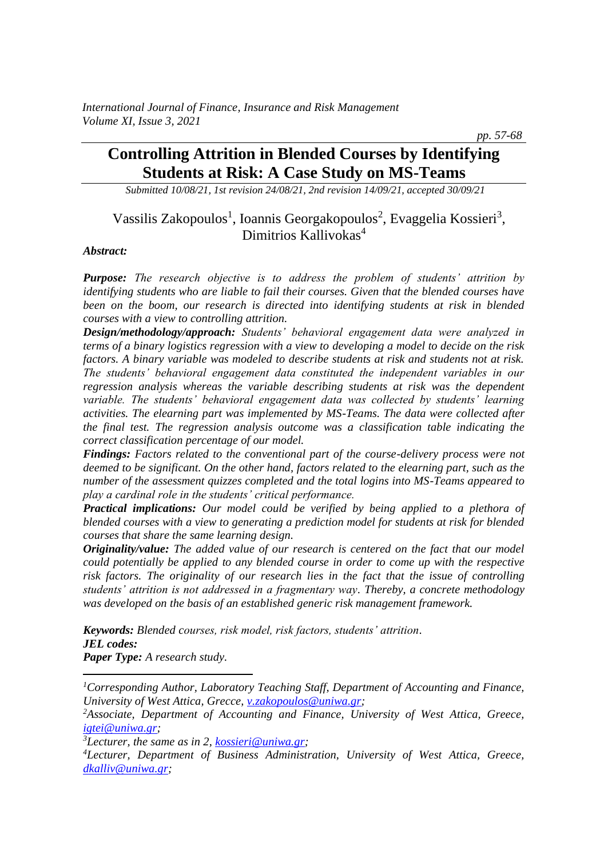*pp. 57-68*

# **Controlling Attrition in Blended Courses by Identifying Students at Risk: A Case Study on MS-Teams**

*Submitted 10/08/21, 1st revision 24/08/21, 2nd revision 14/09/21, accepted 30/09/21*

# Vassilis Zakopoulos<sup>1</sup>, Ioannis Georgakopoulos<sup>2</sup>, Evaggelia Kossieri<sup>3</sup>, Dimitrios Kallivokas<sup>4</sup>

#### *Abstract:*

*Purpose: The research objective is to address the problem of students' attrition by identifying students who are liable to fail their courses. Given that the blended courses have been on the boom, our research is directed into identifying students at risk in blended courses with a view to controlling attrition.*

*Design/methodology/approach: Students' behavioral engagement data were analyzed in terms of a binary logistics regression with a view to developing a model to decide on the risk factors. A binary variable was modeled to describe students at risk and students not at risk. The students' behavioral engagement data constituted the independent variables in our regression analysis whereas the variable describing students at risk was the dependent variable. The students' behavioral engagement data was collected by students' learning activities. The elearning part was implemented by MS-Teams. The data were collected after the final test. The regression analysis outcome was a classification table indicating the correct classification percentage of our model.* 

*Findings: Factors related to the conventional part of the course-delivery process were not deemed to be significant. On the other hand, factors related to the elearning part, such as the number of the assessment quizzes completed and the total logins into MS-Teams appeared to play a cardinal role in the students' critical performance.* 

*Practical implications: Our model could be verified by being applied to a plethora of blended courses with a view to generating a prediction model for students at risk for blended courses that share the same learning design.* 

*Originality/value: The added value of our research is centered on the fact that our model could potentially be applied to any blended course in order to come up with the respective risk factors. The originality of our research lies in the fact that the issue of controlling students' attrition is not addressed in a fragmentary way. Thereby, a concrete methodology was developed on the basis of an established generic risk management framework.* 

*Keywords: Blended courses, risk model, risk factors, students' attrition. JEL codes: Paper Type: A research study.*

*<sup>3</sup>Lecturer, the same as in 2[, kossieri@uniwa.gr;](mailto:kossieri@uniwa.gr)* 

*<sup>1</sup>Corresponding Author, Laboratory Teaching Staff, Department of Accounting and Finance, University of West Attica, Grecce[, v.zakopoulos@uniwa.gr;](mailto:v.zakopoulos@uniwa.gr)* 

*<sup>2</sup>Associate, Department of Accounting and Finance, University of West Attica, Greece, [igtei@uniwa.gr;](mailto:igtei@uniwa.gr)* 

*<sup>4</sup>Lecturer, Department of Business Administration, University of West Attica, Greece, [dkalliv@uniwa.gr;](mailto:dkalliv@uniwa.gr)*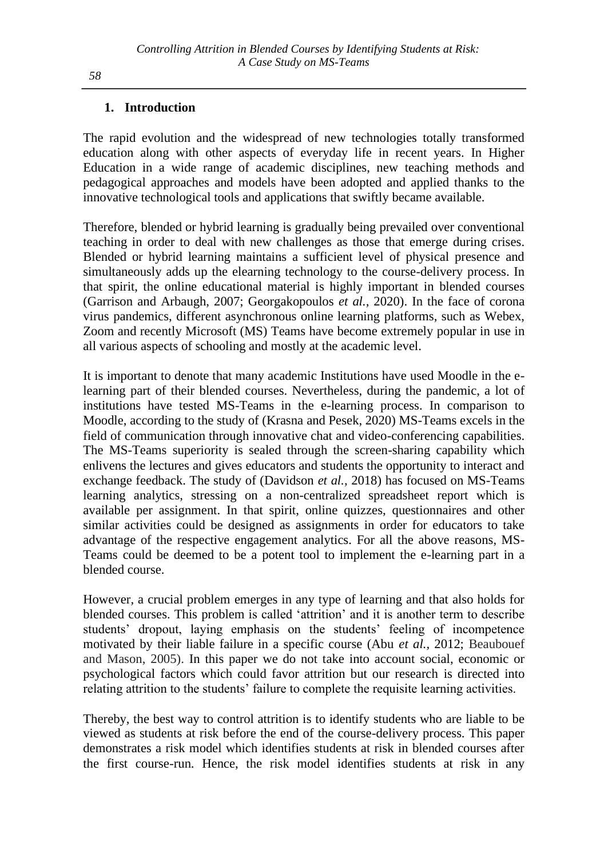## **1. Introduction**

The rapid evolution and the widespread of new technologies totally transformed education along with other aspects of everyday life in recent years. In Higher Education in a wide range of academic disciplines, new teaching methods and pedagogical approaches and models have been adopted and applied thanks to the innovative technological tools and applications that swiftly became available.

Therefore, blended or hybrid learning is gradually being prevailed over conventional teaching in order to deal with new challenges as those that emerge during crises. Blended or hybrid learning maintains a sufficient level of physical presence and simultaneously adds up the elearning technology to the course-delivery process. In that spirit, the online educational material is highly important in blended courses (Garrison and Arbaugh, 2007; Georgakopoulos *et al.,* 2020). In the face of corona virus pandemics, different asynchronous online learning platforms, such as Webex, Zoom and recently Microsoft (MS) Teams have become extremely popular in use in all various aspects of schooling and mostly at the academic level.

It is important to denote that many academic Institutions have used Moodle in the elearning part of their blended courses. Nevertheless, during the pandemic, a lot of institutions have tested MS-Teams in the e-learning process. In comparison to Moodle, according to the study of (Krasna and Pesek, 2020) MS-Teams excels in the field of communication through innovative chat and video-conferencing capabilities. The MS-Teams superiority is sealed through the screen-sharing capability which enlivens the lectures and gives educators and students the opportunity to interact and exchange feedback. The study of (Davidson *et al.,* 2018) has focused on MS-Teams learning analytics, stressing on a non-centralized spreadsheet report which is available per assignment. In that spirit, online quizzes, questionnaires and other similar activities could be designed as assignments in order for educators to take advantage of the respective engagement analytics. For all the above reasons, MS-Teams could be deemed to be a potent tool to implement the e-learning part in a blended course.

However, a crucial problem emerges in any type of learning and that also holds for blended courses. This problem is called 'attrition' and it is another term to describe students' dropout, laying emphasis on the students' feeling of incompetence motivated by their liable failure in a specific course (Abu *et al.,* 2012; Beaubouef and Mason, 2005). In this paper we do not take into account social, economic or psychological factors which could favor attrition but our research is directed into relating attrition to the students' failure to complete the requisite learning activities.

Thereby, the best way to control attrition is to identify students who are liable to be viewed as students at risk before the end of the course-delivery process. This paper demonstrates a risk model which identifies students at risk in blended courses after the first course-run. Hence, the risk model identifies students at risk in any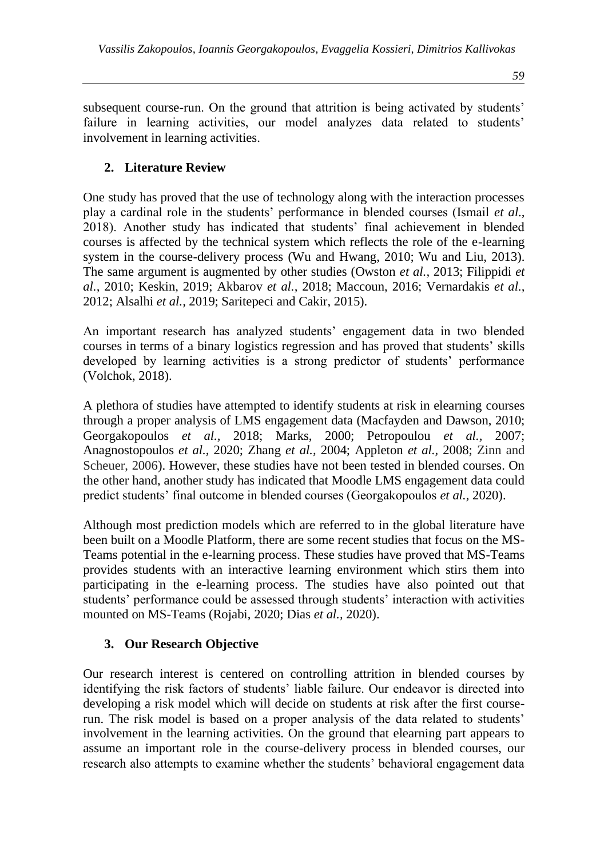subsequent course-run. On the ground that attrition is being activated by students' failure in learning activities, our model analyzes data related to students' involvement in learning activities.

## **2. Literature Review**

One study has proved that the use of technology along with the interaction processes play a cardinal role in the students' performance in blended courses (Ismail *et al.,* 2018). Another study has indicated that students' final achievement in blended courses is affected by the technical system which reflects the role of the e-learning system in the course-delivery process (Wu and Hwang, 2010; Wu and Liu, 2013). The same argument is augmented by other studies (Owston *et al.,* 2013; Filippidi *et al.,* 2010; Keskin, 2019; Akbarov *et al.,* 2018; Maccoun, 2016; Vernardakis *et al.,* 2012; Alsalhi *et al.,* 2019; Saritepeci and Cakir, 2015).

An important research has analyzed students' engagement data in two blended courses in terms of a binary logistics regression and has proved that students' skills developed by learning activities is a strong predictor of students' performance (Volchok, 2018).

A plethora of studies have attempted to identify students at risk in elearning courses through a proper analysis of LMS engagement data (Macfayden and Dawson, 2010; Georgakopoulos *et al.,* 2018; Marks, 2000; Petropoulou *et al.,* 2007; Anagnostopoulos *et al.,* 2020; Zhang *et al.,* 2004; Appleton *et al.,* 2008; Zinn and Scheuer, 2006). However, these studies have not been tested in blended courses. On the other hand, another study has indicated that Moodle LMS engagement data could predict students' final outcome in blended courses (Georgakopoulos *et al.,* 2020).

Although most prediction models which are referred to in the global literature have been built on a Moodle Platform, there are some recent studies that focus on the MS-Teams potential in the e-learning process. These studies have proved that MS-Teams provides students with an interactive learning environment which stirs them into participating in the e-learning process. The studies have also pointed out that students' performance could be assessed through students' interaction with activities mounted on MS-Teams (Rojabi, 2020; Dias *et al.,* 2020).

## **3. Our Research Objective**

Our research interest is centered on controlling attrition in blended courses by identifying the risk factors of students' liable failure. Our endeavor is directed into developing a risk model which will decide on students at risk after the first courserun. The risk model is based on a proper analysis of the data related to students' involvement in the learning activities. On the ground that elearning part appears to assume an important role in the course-delivery process in blended courses, our research also attempts to examine whether the students' behavioral engagement data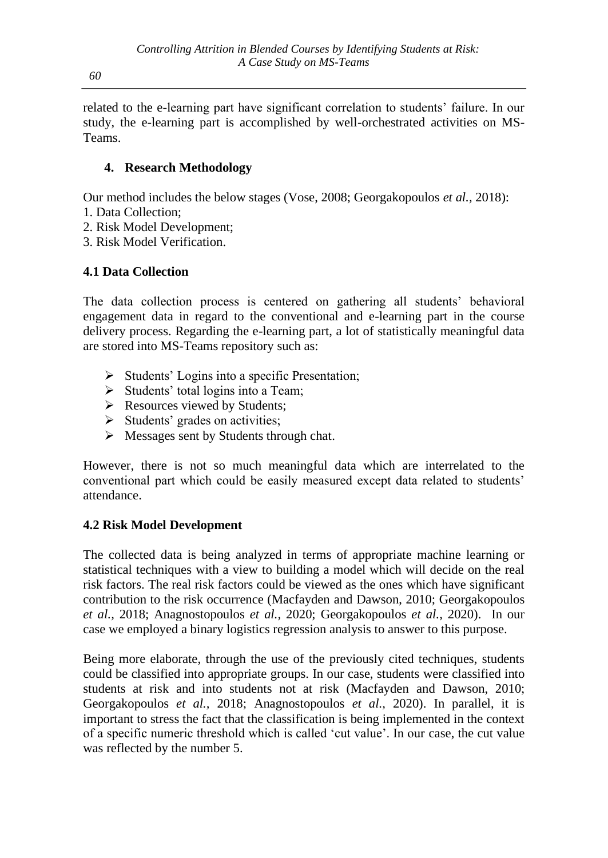*60*

related to the e-learning part have significant correlation to students' failure. In our study, the e-learning part is accomplished by well-orchestrated activities on MS-Teams.

## **4. Research Methodology**

Our method includes the below stages (Vose, 2008; Georgakopoulos *et al.,* 2018):

- 1. Data Collection;
- 2. Risk Model Development;
- 3. Risk Model Verification.

# **4.1 Data Collection**

The data collection process is centered on gathering all students' behavioral engagement data in regard to the conventional and e-learning part in the course delivery process. Regarding the e-learning part, a lot of statistically meaningful data are stored into MS-Teams repository such as:

- ➢ Students' Logins into a specific Presentation;
- ➢ Students' total logins into a Team;
- ➢ Resources viewed by Students;
- ➢ Students' grades on activities;
- ➢ Messages sent by Students through chat.

However, there is not so much meaningful data which are interrelated to the conventional part which could be easily measured except data related to students' attendance.

## **4.2 Risk Model Development**

The collected data is being analyzed in terms of appropriate machine learning or statistical techniques with a view to building a model which will decide on the real risk factors. The real risk factors could be viewed as the ones which have significant contribution to the risk occurrence (Macfayden and Dawson, 2010; Georgakopoulos *et al.,* 2018; Anagnostopoulos *et al.,* 2020; Georgakopoulos *et al.,* 2020). In our case we employed a binary logistics regression analysis to answer to this purpose.

Being more elaborate, through the use of the previously cited techniques, students could be classified into appropriate groups. In our case, students were classified into students at risk and into students not at risk (Macfayden and Dawson, 2010; Georgakopoulos *et al.,* 2018; Anagnostopoulos *et al.,* 2020). In parallel, it is important to stress the fact that the classification is being implemented in the context of a specific numeric threshold which is called 'cut value'. In our case, the cut value was reflected by the number 5.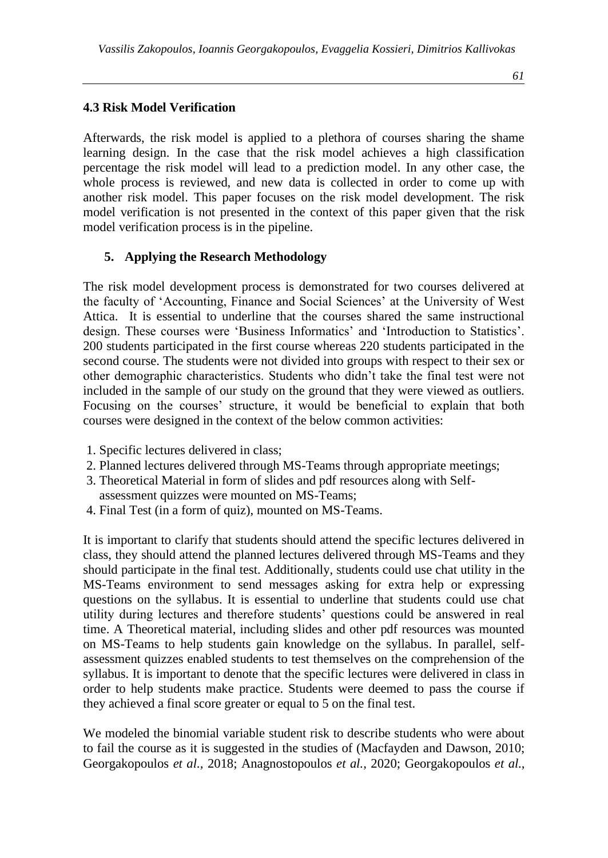#### **4.3 Risk Model Verification**

Afterwards, the risk model is applied to a plethora of courses sharing the shame learning design. In the case that the risk model achieves a high classification percentage the risk model will lead to a prediction model. In any other case, the whole process is reviewed, and new data is collected in order to come up with another risk model. This paper focuses on the risk model development. The risk model verification is not presented in the context of this paper given that the risk model verification process is in the pipeline.

#### **5. Applying the Research Methodology**

The risk model development process is demonstrated for two courses delivered at the faculty of 'Accounting, Finance and Social Sciences' at the University of West Attica. It is essential to underline that the courses shared the same instructional design. These courses were 'Business Informatics' and 'Introduction to Statistics'. 200 students participated in the first course whereas 220 students participated in the second course. The students were not divided into groups with respect to their sex or other demographic characteristics. Students who didn't take the final test were not included in the sample of our study on the ground that they were viewed as outliers. Focusing on the courses' structure, it would be beneficial to explain that both courses were designed in the context of the below common activities:

- 1. Specific lectures delivered in class;
- 2. Planned lectures delivered through MS-Teams through appropriate meetings;
- 3. Theoretical Material in form of slides and pdf resources along with Self-
- assessment quizzes were mounted on MS-Teams;
- 4. Final Test (in a form of quiz), mounted on MS-Teams.

It is important to clarify that students should attend the specific lectures delivered in class, they should attend the planned lectures delivered through MS-Teams and they should participate in the final test. Additionally, students could use chat utility in the MS-Teams environment to send messages asking for extra help or expressing questions on the syllabus. It is essential to underline that students could use chat utility during lectures and therefore students' questions could be answered in real time. A Theoretical material, including slides and other pdf resources was mounted on MS-Teams to help students gain knowledge on the syllabus. In parallel, selfassessment quizzes enabled students to test themselves on the comprehension of the syllabus. It is important to denote that the specific lectures were delivered in class in order to help students make practice. Students were deemed to pass the course if they achieved a final score greater or equal to 5 on the final test.

We modeled the binomial variable student risk to describe students who were about to fail the course as it is suggested in the studies of (Macfayden and Dawson, 2010; Georgakopoulos *et al.,* 2018; Anagnostopoulos *et al.,* 2020; Georgakopoulos *et al.,*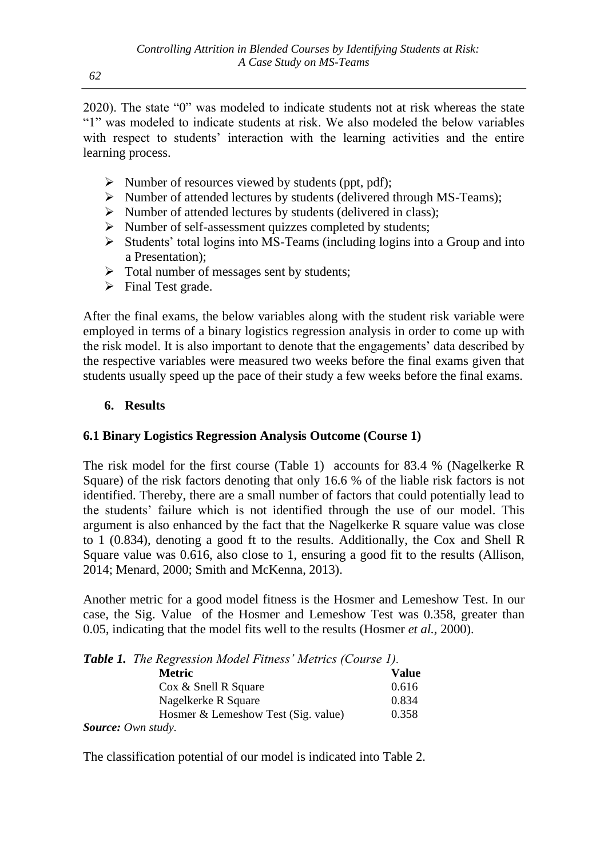2020). The state "0" was modeled to indicate students not at risk whereas the state "1" was modeled to indicate students at risk. We also modeled the below variables with respect to students' interaction with the learning activities and the entire learning process.

- ➢ Number of resources viewed by students (ppt, pdf);
- ➢ Number of attended lectures by students (delivered through MS-Teams);
- ➢ Number of attended lectures by students (delivered in class);
- ➢ Number of self-assessment quizzes completed by students;
- $\triangleright$  Students' total logins into MS-Teams (including logins into a Group and into a Presentation);
- ➢ Total number of messages sent by students;
- ➢ Final Test grade.

After the final exams, the below variables along with the student risk variable were employed in terms of a binary logistics regression analysis in order to come up with the risk model. It is also important to denote that the engagements' data described by the respective variables were measured two weeks before the final exams given that students usually speed up the pace of their study a few weeks before the final exams.

## **6. Results**

## **6.1 Binary Logistics Regression Analysis Outcome (Course 1)**

The risk model for the first course (Table 1) accounts for 83.4 % (Nagelkerke R Square) of the risk factors denoting that only 16.6 % of the liable risk factors is not identified. Thereby, there are a small number of factors that could potentially lead to the students' failure which is not identified through the use of our model. This argument is also enhanced by the fact that the Nagelkerke R square value was close to 1 (0.834), denoting a good ft to the results. Additionally, the Cox and Shell R Square value was 0.616, also close to 1, ensuring a good fit to the results (Allison, 2014; Menard, 2000; Smith and McKenna, 2013).

Another metric for a good model fitness is the Hosmer and Lemeshow Test. In our case, the Sig. Value of the Hosmer and Lemeshow Test was 0.358, greater than 0.05, indicating that the model fits well to the results (Hosmer *et al.,* 2000).

|  |  | <b>Table 1.</b> The Regression Model Fitness' Metrics (Course 1). |  |  |  |  |  |
|--|--|-------------------------------------------------------------------|--|--|--|--|--|
|--|--|-------------------------------------------------------------------|--|--|--|--|--|

| <b>Metric</b>                       | <b>Value</b> |
|-------------------------------------|--------------|
| $\cos \&$ Snell R Square            | 0.616        |
| Nagelkerke R Square                 | 0.834        |
| Hosmer & Lemeshow Test (Sig. value) | 0.358        |
| <b>Source:</b> Own study.           |              |

The classification potential of our model is indicated into Table 2.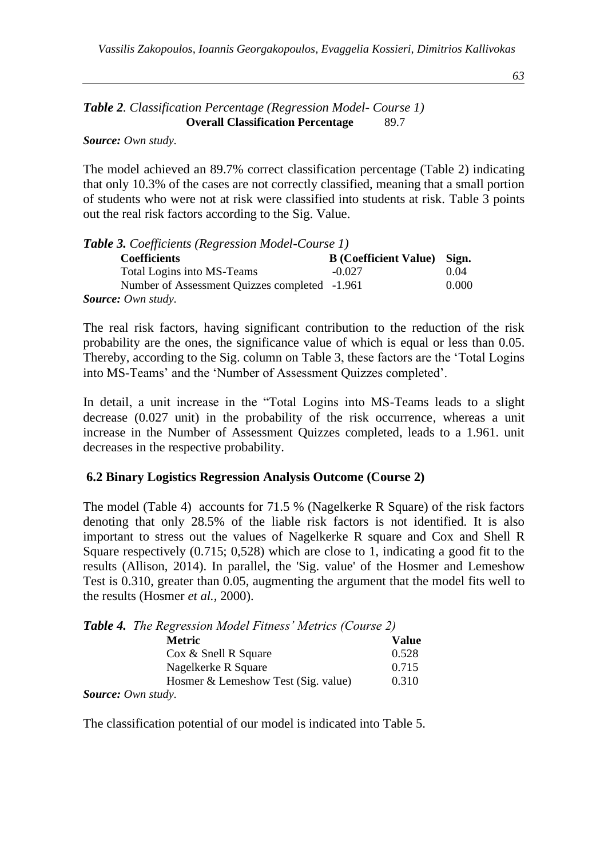*63*

#### *Table 2. Classification Percentage (Regression Model- Course 1)* **Overall Classification Percentage** 89.7

*Source: Own study.*

The model achieved an 89.7% correct classification percentage (Table 2) indicating that only 10.3% of the cases are not correctly classified, meaning that a small portion of students who were not at risk were classified into students at risk. Table 3 points out the real risk factors according to the Sig. Value.

| <b>Table 3.</b> Coefficients (Regression Model-Course 1) |                                    |       |  |  |
|----------------------------------------------------------|------------------------------------|-------|--|--|
| <b>Coefficients</b>                                      | <b>B</b> (Coefficient Value) Sign. |       |  |  |
| Total Logins into MS-Teams                               | $-0.027$                           | 0.04  |  |  |
| Number of Assessment Quizzes completed -1.961            |                                    | 0.000 |  |  |
| <b>Source:</b> Own study.                                |                                    |       |  |  |

The real risk factors, having significant contribution to the reduction of the risk probability are the ones, the significance value of which is equal or less than 0.05. Thereby, according to the Sig. column on Table 3, these factors are the 'Total Logins into MS-Teams' and the 'Number of Assessment Quizzes completed'.

In detail, a unit increase in the "Total Logins into MS-Teams leads to a slight decrease (0.027 unit) in the probability of the risk occurrence, whereas a unit increase in the Number of Assessment Quizzes completed, leads to a 1.961. unit decreases in the respective probability.

#### **6.2 Binary Logistics Regression Analysis Outcome (Course 2)**

The model (Table 4) accounts for 71.5 % (Nagelkerke R Square) of the risk factors denoting that only 28.5% of the liable risk factors is not identified. It is also important to stress out the values of Nagelkerke R square and Cox and Shell R Square respectively (0.715; 0,528) which are close to 1, indicating a good fit to the results (Allison, 2014). In parallel, the 'Sig. value' of the Hosmer and Lemeshow Test is 0.310, greater than 0.05, augmenting the argument that the model fits well to the results (Hosmer *et al.,* 2000).

|  |  | Table 4. The Regression Model Fitness' Metrics (Course 2) |  |  |  |
|--|--|-----------------------------------------------------------|--|--|--|
|--|--|-----------------------------------------------------------|--|--|--|

| <b>Metric</b>                       | Value |
|-------------------------------------|-------|
| Cox & Snell R Square                | 0.528 |
| Nagelkerke R Square                 | 0.715 |
| Hosmer & Lemeshow Test (Sig. value) | 0.310 |
| <b>Source:</b> Own study.           |       |

The classification potential of our model is indicated into Table 5.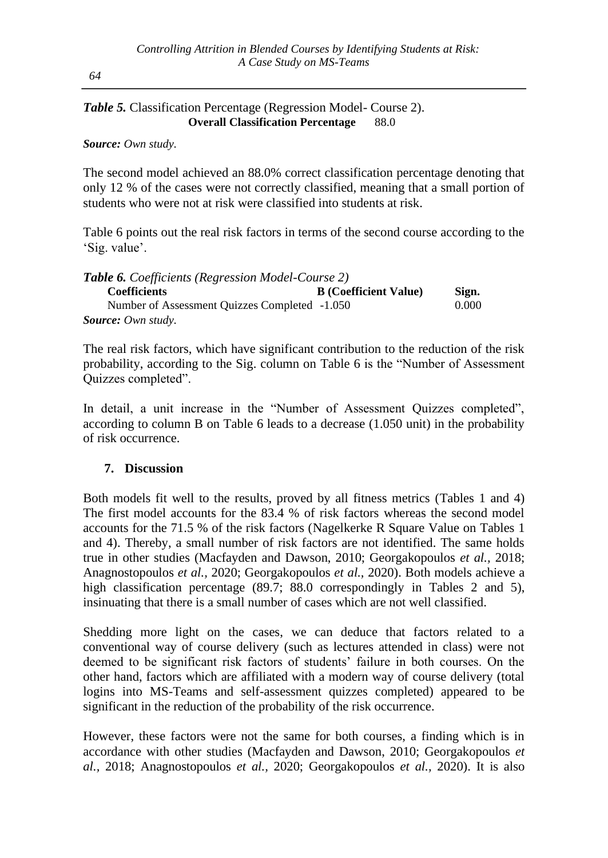## *Table 5.* Classification Percentage (Regression Model- Course 2). **Overall Classification Percentage** 88.0

*Source: Own study.*

The second model achieved an 88.0% correct classification percentage denoting that only 12 % of the cases were not correctly classified, meaning that a small portion of students who were not at risk were classified into students at risk.

Table 6 points out the real risk factors in terms of the second course according to the 'Sig. value'.

| <b>Table 6.</b> Coefficients (Regression Model-Course 2) |                              |       |
|----------------------------------------------------------|------------------------------|-------|
| <b>Coefficients</b>                                      | <b>B</b> (Coefficient Value) | Sign. |
| Number of Assessment Quizzes Completed -1.050            |                              | 0.000 |
| <b>Source:</b> Own study.                                |                              |       |

The real risk factors, which have significant contribution to the reduction of the risk probability, according to the Sig. column on Table 6 is the "Number of Assessment Quizzes completed".

In detail, a unit increase in the "Number of Assessment Quizzes completed", according to column B on Table 6 leads to a decrease (1.050 unit) in the probability of risk occurrence.

## **7. Discussion**

Both models fit well to the results, proved by all fitness metrics (Tables 1 and 4) The first model accounts for the 83.4 % of risk factors whereas the second model accounts for the 71.5 % of the risk factors (Nagelkerke R Square Value on Tables 1 and 4). Thereby, a small number of risk factors are not identified. The same holds true in other studies (Macfayden and Dawson, 2010; Georgakopoulos *et al.,* 2018; Anagnostopoulos *et al.,* 2020; Georgakopoulos *et al.,* 2020). Both models achieve a high classification percentage (89.7; 88.0 correspondingly in Tables 2 and 5), insinuating that there is a small number of cases which are not well classified.

Shedding more light on the cases, we can deduce that factors related to a conventional way of course delivery (such as lectures attended in class) were not deemed to be significant risk factors of students' failure in both courses. On the other hand, factors which are affiliated with a modern way of course delivery (total logins into MS-Teams and self-assessment quizzes completed) appeared to be significant in the reduction of the probability of the risk occurrence.

However, these factors were not the same for both courses, a finding which is in accordance with other studies (Macfayden and Dawson, 2010; Georgakopoulos *et al.,* 2018; Anagnostopoulos *et al.,* 2020; Georgakopoulos *et al.,* 2020). It is also

*64*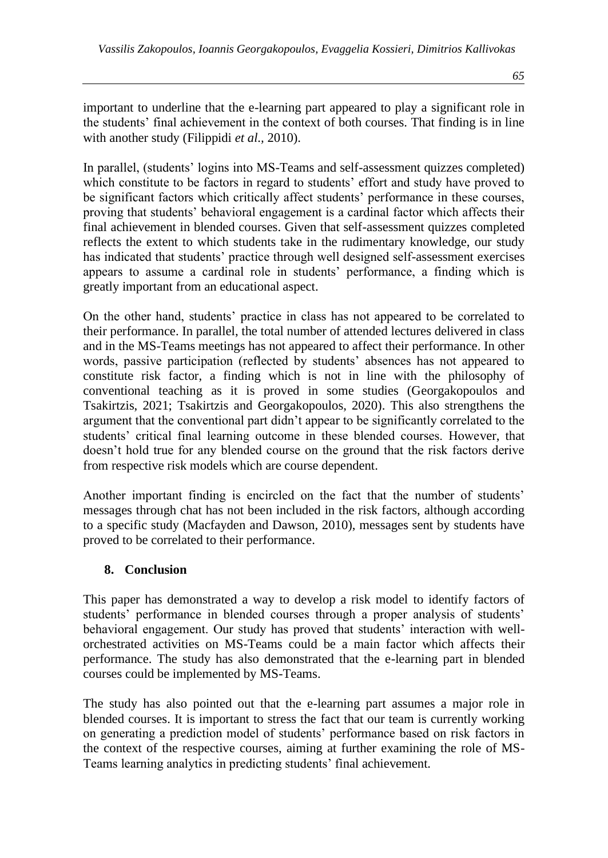important to underline that the e-learning part appeared to play a significant role in the students' final achievement in the context of both courses. That finding is in line with another study (Filippidi *et al.,* 2010).

In parallel, (students' logins into MS-Teams and self-assessment quizzes completed) which constitute to be factors in regard to students' effort and study have proved to be significant factors which critically affect students' performance in these courses, proving that students' behavioral engagement is a cardinal factor which affects their final achievement in blended courses. Given that self-assessment quizzes completed reflects the extent to which students take in the rudimentary knowledge, our study has indicated that students' practice through well designed self-assessment exercises appears to assume a cardinal role in students' performance, a finding which is greatly important from an educational aspect.

On the other hand, students' practice in class has not appeared to be correlated to their performance. In parallel, the total number of attended lectures delivered in class and in the MS-Teams meetings has not appeared to affect their performance. In other words, passive participation (reflected by students' absences has not appeared to constitute risk factor, a finding which is not in line with the philosophy of conventional teaching as it is proved in some studies (Georgakopoulos and Tsakirtzis, 2021; Tsakirtzis and Georgakopoulos, 2020). This also strengthens the argument that the conventional part didn't appear to be significantly correlated to the students' critical final learning outcome in these blended courses. However, that doesn't hold true for any blended course on the ground that the risk factors derive from respective risk models which are course dependent.

Another important finding is encircled on the fact that the number of students' messages through chat has not been included in the risk factors, although according to a specific study (Macfayden and Dawson, 2010), messages sent by students have proved to be correlated to their performance.

#### **8. Conclusion**

This paper has demonstrated a way to develop a risk model to identify factors of students' performance in blended courses through a proper analysis of students' behavioral engagement. Our study has proved that students' interaction with wellorchestrated activities on MS-Teams could be a main factor which affects their performance. The study has also demonstrated that the e-learning part in blended courses could be implemented by MS-Teams.

The study has also pointed out that the e-learning part assumes a major role in blended courses. It is important to stress the fact that our team is currently working on generating a prediction model of students' performance based on risk factors in the context of the respective courses, aiming at further examining the role of MS-Teams learning analytics in predicting students' final achievement.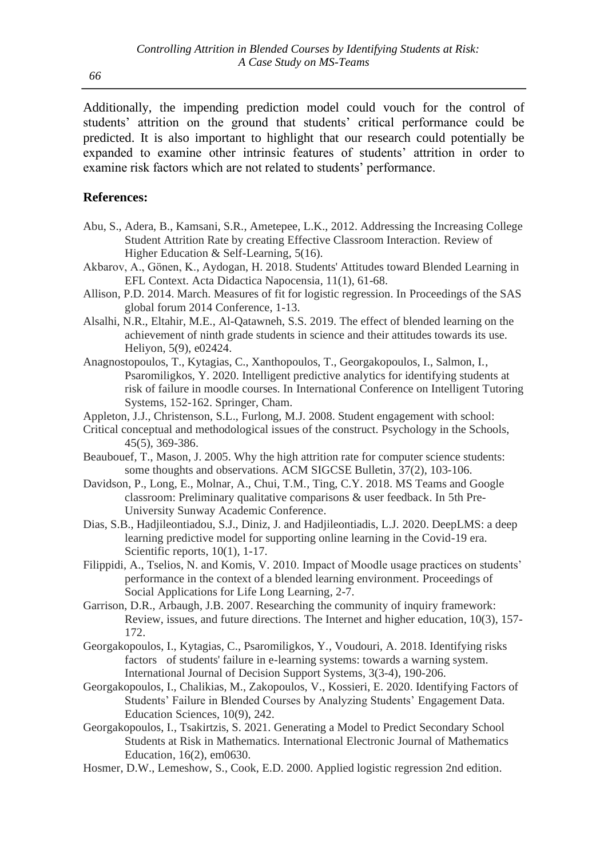Additionally, the impending prediction model could vouch for the control of students' attrition on the ground that students' critical performance could be predicted. It is also important to highlight that our research could potentially be expanded to examine other intrinsic features of students' attrition in order to examine risk factors which are not related to students' performance.

#### **References:**

- Abu, S., Adera, B., Kamsani, S.R., Ametepee, L.K., 2012. Addressing the Increasing College Student Attrition Rate by creating Effective Classroom Interaction. Review of Higher Education & Self-Learning, 5(16).
- Akbarov, A., Gönen, K., Aydogan, H. 2018. Students' Attitudes toward Blended Learning in EFL Context. Acta Didactica Napocensia, 11(1), 61-68.
- Allison, P.D. 2014. March. Measures of fit for logistic regression. In Proceedings of the SAS global forum 2014 Conference, 1-13.
- Alsalhi, N.R., Eltahir, M.E., Al-Qatawneh, S.S. 2019. The effect of blended learning on the achievement of ninth grade students in science and their attitudes towards its use. Heliyon, 5(9), e02424.
- Anagnostopoulos, T., Kytagias, C., Xanthopoulos, T., Georgakopoulos, I., Salmon, I., Psaromiligkos, Y. 2020. Intelligent predictive analytics for identifying students at risk of failure in moodle courses. In International Conference on Intelligent Tutoring Systems, 152-162. Springer, Cham.
- Appleton, J.J., Christenson, S.L., Furlong, M.J. 2008. Student engagement with school:
- Critical conceptual and methodological issues of the construct. Psychology in the Schools, 45(5), 369-386.
- Beaubouef, T., Mason, J. 2005. Why the high attrition rate for computer science students: some thoughts and observations. ACM SIGCSE Bulletin, 37(2), 103-106.
- Davidson, P., Long, E., Molnar, A., Chui, T.M., Ting, C.Y. 2018. MS Teams and Google classroom: Preliminary qualitative comparisons & user feedback. In 5th Pre-University Sunway Academic Conference.
- Dias, S.B., Hadjileontiadou, S.J., Diniz, J. and Hadjileontiadis, L.J. 2020. DeepLMS: a deep learning predictive model for supporting online learning in the Covid-19 era. Scientific reports,  $10(1)$ , 1-17.
- Filippidi, A., Tselios, N. and Komis, V. 2010. Impact of Moodle usage practices on students' performance in the context of a blended learning environment. Proceedings of Social Applications for Life Long Learning, 2-7.
- Garrison, D.R., Arbaugh, J.B. 2007. Researching the community of inquiry framework: Review, issues, and future directions. The Internet and higher education, 10(3), 157- 172.
- Georgakopoulos, I., Kytagias, C., Psaromiligkos, Y., Voudouri, A. 2018. Identifying risks factors of students' failure in e-learning systems: towards a warning system. International Journal of Decision Support Systems, 3(3-4), 190-206.
- Georgakopoulos, I., Chalikias, M., Zakopoulos, V., Kossieri, E. 2020. Identifying Factors of Students' Failure in Blended Courses by Analyzing Students' Engagement Data. Education Sciences, 10(9), 242.
- Georgakopoulos, I., Tsakirtzis, S. 2021. Generating a Model to Predict Secondary School Students at Risk in Mathematics. International Electronic Journal of Mathematics Education, 16(2), em0630.
- Hosmer, D.W., Lemeshow, S., Cook, E.D. 2000. Applied logistic regression 2nd edition.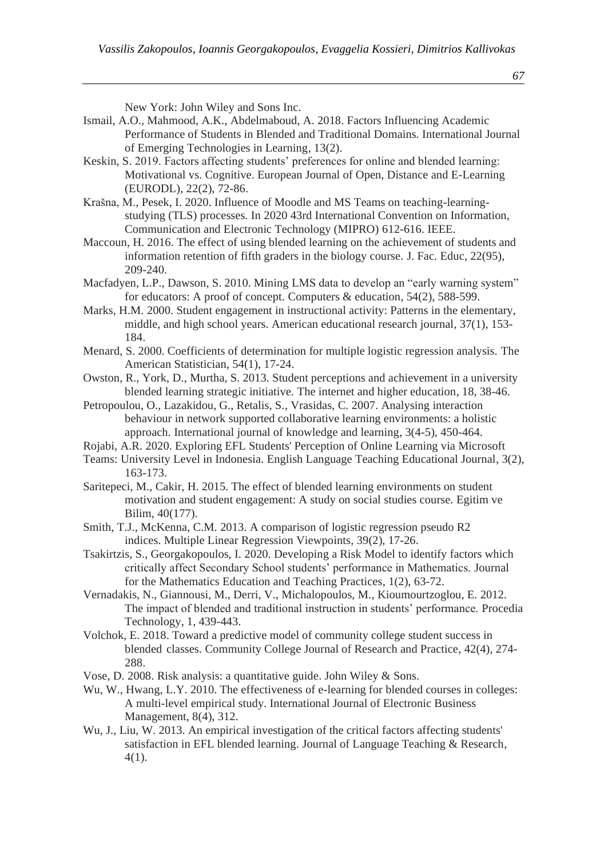New York: John Wiley and Sons Inc.

- Ismail, A.O., Mahmood, A.K., Abdelmaboud, A. 2018. Factors Influencing Academic Performance of Students in Blended and Traditional Domains. International Journal of Emerging Technologies in Learning, 13(2).
- Keskin, S. 2019. Factors affecting students' preferences for online and blended learning: Motivational vs. Cognitive. European Journal of Open, Distance and E-Learning (EURODL), 22(2), 72-86.
- Krašna, M., Pesek, I. 2020. Influence of Moodle and MS Teams on teaching-learningstudying (TLS) processes. In 2020 43rd International Convention on Information, Communication and Electronic Technology (MIPRO) 612-616. IEEE.
- Maccoun, H. 2016. The effect of using blended learning on the achievement of students and information retention of fifth graders in the biology course. J. Fac. Educ, 22(95), 209-240.
- Macfadyen, L.P., Dawson, S. 2010. Mining LMS data to develop an "early warning system" for educators: A proof of concept. Computers & education, 54(2), 588-599.
- Marks, H.M. 2000. Student engagement in instructional activity: Patterns in the elementary, middle, and high school years. American educational research journal, 37(1), 153- 184.
- Menard, S. 2000. Coefficients of determination for multiple logistic regression analysis. The American Statistician, 54(1), 17-24.
- Owston, R., York, D., Murtha, S. 2013. Student perceptions and achievement in a university blended learning strategic initiative. The internet and higher education, 18, 38-46.
- Petropoulou, O., Lazakidou, G., Retalis, S., Vrasidas, C. 2007. Analysing interaction behaviour in network supported collaborative learning environments: a holistic approach. International journal of knowledge and learning, 3(4-5), 450-464.
- Rojabi, A.R. 2020. Exploring EFL Students' Perception of Online Learning via Microsoft
- Teams: University Level in Indonesia. English Language Teaching Educational Journal, 3(2), 163-173.
- Saritepeci, M., Cakir, H. 2015. The effect of blended learning environments on student motivation and student engagement: A study on social studies course. Egitim ve Bilim, 40(177).
- Smith, T.J., McKenna, C.M. 2013. A comparison of logistic regression pseudo R2 indices. Multiple Linear Regression Viewpoints, 39(2), 17-26.
- Tsakirtzis, S., Georgakopoulos, I. 2020. Developing a Risk Model to identify factors which critically affect Secondary School students' performance in Mathematics. Journal for the Mathematics Education and Teaching Practices, 1(2), 63-72.
- Vernadakis, N., Giannousi, M., Derri, V., Michalopoulos, M., Kioumourtzoglou, E. 2012. The impact of blended and traditional instruction in students' performance. Procedia Technology, 1, 439-443.
- Volchok, E. 2018. Toward a predictive model of community college student success in blended classes. Community College Journal of Research and Practice, 42(4), 274- 288.
- Vose, D. 2008. Risk analysis: a quantitative guide. John Wiley & Sons.
- Wu, W., Hwang, L.Y. 2010. The effectiveness of e-learning for blended courses in colleges: A multi-level empirical study. International Journal of Electronic Business Management, 8(4), 312.
- Wu, J., Liu, W. 2013. An empirical investigation of the critical factors affecting students' satisfaction in EFL blended learning. Journal of Language Teaching & Research, 4(1).